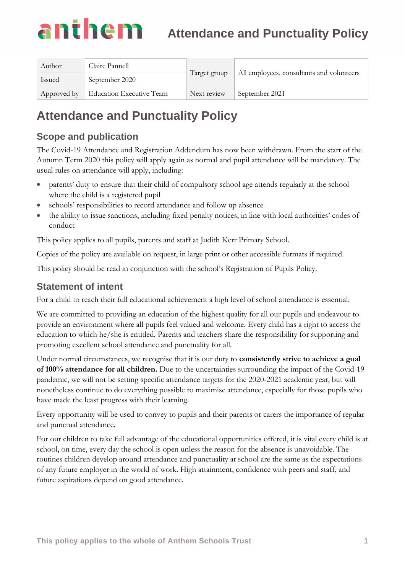#### anthem **Attendance and Punctuality Policy**

| Author      | Claire Pannell           | Target group | All employees, consultants and volunteers |
|-------------|--------------------------|--------------|-------------------------------------------|
| Issued      | September 2020           |              |                                           |
| Approved by | Education Executive Team | Next review  | September 2021                            |

### **Attendance and Punctuality Policy**

#### **Scope and publication**

The Covid-19 Attendance and Registration Addendum has now been withdrawn. From the start of the Autumn Term 2020 this policy will apply again as normal and pupil attendance will be mandatory. The usual rules on attendance will apply, including:

- parents' duty to ensure that their child of compulsory school age attends regularly at the school where the child is a registered pupil
- schools' responsibilities to record attendance and follow up absence
- the ability to issue sanctions, including fixed penalty notices, in line with local authorities' codes of conduct

This policy applies to all pupils, parents and staff at Judith Kerr Primary School.

Copies of the policy are available on request, in large print or other accessible formats if required.

This policy should be read in conjunction with the school's Registration of Pupils Policy.

#### **Statement of intent**

For a child to reach their full educational achievement a high level of school attendance is essential.

We are committed to providing an education of the highest quality for all our pupils and endeavour to provide an environment where all pupils feel valued and welcome. Every child has a right to access the education to which he/she is entitled. Parents and teachers share the responsibility for supporting and promoting excellent school attendance and punctuality for all.

Under normal circumstances, we recognise that it is our duty to **consistently strive to achieve a goal of 100% attendance for all children.** Due to the uncertainties surrounding the impact of the Covid-19 pandemic, we will not be setting specific attendance targets for the 2020-2021 academic year, but will nonetheless continue to do everything possible to maximise attendance, especially for those pupils who have made the least progress with their learning.

Every opportunity will be used to convey to pupils and their parents or carers the importance of regular and punctual attendance.

For our children to take full advantage of the educational opportunities offered, it is vital every child is at school, on time, every day the school is open unless the reason for the absence is unavoidable. The routines children develop around attendance and punctuality at school are the same as the expectations of any future employer in the world of work. High attainment, confidence with peers and staff, and future aspirations depend on good attendance.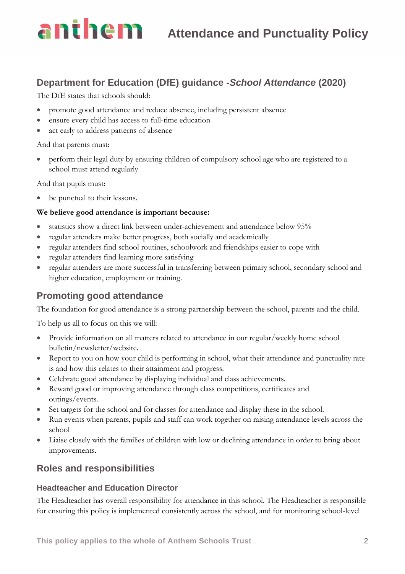## **Antine In** Attendance and Punctuality Policy

#### **Department for Education (DfE) guidance -***School Attendance* **(2020)**

The DfE states that schools should:

- promote good attendance and reduce absence, including persistent absence
- ensure every child has access to full-time education
- act early to address patterns of absence

And that parents must:

• perform their legal duty by ensuring children of compulsory school age who are registered to a school must attend regularly

And that pupils must:

• be punctual to their lessons.

#### **We believe good attendance is important because:**

- statistics show a direct link between under-achievement and attendance below 95%
- regular attenders make better progress, both socially and academically
- regular attenders find school routines, schoolwork and friendships easier to cope with
- regular attenders find learning more satisfying
- regular attenders are more successful in transferring between primary school, secondary school and higher education, employment or training.

#### **Promoting good attendance**

The foundation for good attendance is a strong partnership between the school, parents and the child.

To help us all to focus on this we will:

- Provide information on all matters related to attendance in our regular/weekly home school bulletin/newsletter/website.
- Report to you on how your child is performing in school, what their attendance and punctuality rate is and how this relates to their attainment and progress.
- Celebrate good attendance by displaying individual and class achievements.
- Reward good or improving attendance through class competitions, certificates and outings/events.
- Set targets for the school and for classes for attendance and display these in the school.
- Run events when parents, pupils and staff can work together on raising attendance levels across the school
- Liaise closely with the families of children with low or declining attendance in order to bring about improvements.

#### **Roles and responsibilities**

#### **Headteacher and Education Director**

The Headteacher has overall responsibility for attendance in this school. The Headteacher is responsible for ensuring this policy is implemented consistently across the school, and for monitoring school-level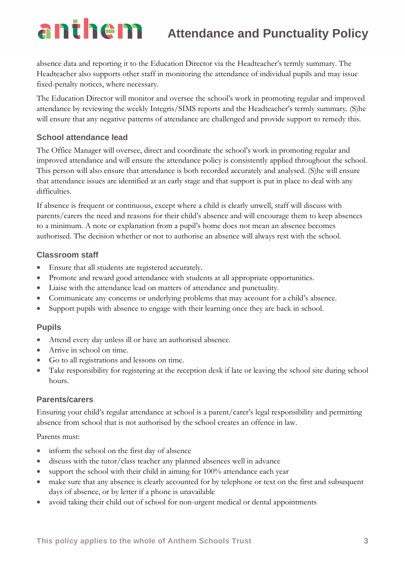## **Attendance and Punctuality Policy**

absence data and reporting it to the Education Director via the Headteacher's termly summary. The Headteacher also supports other staff in monitoring the attendance of individual pupils and may issue fixed-penalty notices, where necessary.

The Education Director will monitor and oversee the school's work in promoting regular and improved attendance by reviewing the weekly Integris/SIMS reports and the Headteacher's termly summary. (S)he will ensure that any negative patterns of attendance are challenged and provide support to remedy this.

#### **School attendance lead**

anthem

The Office Manager will oversee, direct and coordinate the school's work in promoting regular and improved attendance and will ensure the attendance policy is consistently applied throughout the school. This person will also ensure that attendance is both recorded accurately and analysed. (S)he will ensure that attendance issues are identified at an early stage and that support is put in place to deal with any difficulties.

If absence is frequent or continuous, except where a child is clearly unwell, staff will discuss with parents/carers the need and reasons for their child's absence and will encourage them to keep absences to a minimum. A note or explanation from a pupil's home does not mean an absence becomes authorised. The decision whether or not to authorise an absence will always rest with the school.

#### **Classroom staff**

- Ensure that all students are registered accurately.
- Promote and reward good attendance with students at all appropriate opportunities.
- Liaise with the attendance lead on matters of attendance and punctuality.
- Communicate any concerns or underlying problems that may account for a child's absence.
- Support pupils with absence to engage with their learning once they are back in school.

#### **Pupils**

- Attend every day unless ill or have an authorised absence.
- Arrive in school on time.
- Go to all registrations and lessons on time.
- Take responsibility for registering at the reception desk if late or leaving the school site during school hours.

#### **Parents/carers**

Ensuring your child's regular attendance at school is a parent/carer's legal responsibility and permitting absence from school that is not authorised by the school creates an offence in law.

Parents must:

- inform the school on the first day of absence
- discuss with the tutor/class teacher any planned absences well in advance
- support the school with their child in aiming for 100% attendance each year
- make sure that any absence is clearly accounted for by telephone or text on the first and subsequent days of absence, or by letter if a phone is unavailable
- avoid taking their child out of school for non-urgent medical or dental appointments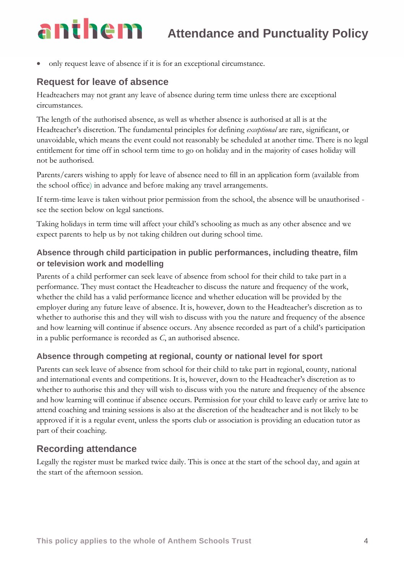### **Attendance and Punctuality Policy**

• only request leave of absence if it is for an exceptional circumstance.

#### **Request for leave of absence**

anthem

Headteachers may not grant any leave of absence during term time unless there are exceptional circumstances.

The length of the authorised absence, as well as whether absence is authorised at all is at the Headteacher's discretion. The fundamental principles for defining *exceptional* are rare, significant, or unavoidable, which means the event could not reasonably be scheduled at another time. There is no legal entitlement for time off in school term time to go on holiday and in the majority of cases holiday will not be authorised.

Parents/carers wishing to apply for leave of absence need to fill in an application form (available from the school office) in advance and before making any travel arrangements.

If term-time leave is taken without prior permission from the school, the absence will be unauthorised see the section below on legal sanctions.

Taking holidays in term time will affect your child's schooling as much as any other absence and we expect parents to help us by not taking children out during school time.

#### **Absence through child participation in public performances, including theatre, film or television work and modelling**

Parents of a child performer can seek leave of absence from school for their child to take part in a performance. They must contact the Headteacher to discuss the nature and frequency of the work, whether the child has a valid performance licence and whether education will be provided by the employer during any future leave of absence. It is, however, down to the Headteacher's discretion as to whether to authorise this and they will wish to discuss with you the nature and frequency of the absence and how learning will continue if absence occurs. Any absence recorded as part of a child's participation in a public performance is recorded as *C*, an authorised absence.

#### **Absence through competing at regional, county or national level for sport**

Parents can seek leave of absence from school for their child to take part in regional, county, national and international events and competitions. It is, however, down to the Headteacher's discretion as to whether to authorise this and they will wish to discuss with you the nature and frequency of the absence and how learning will continue if absence occurs. Permission for your child to leave early or arrive late to attend coaching and training sessions is also at the discretion of the headteacher and is not likely to be approved if it is a regular event, unless the sports club or association is providing an education tutor as part of their coaching.

#### **Recording attendance**

Legally the register must be marked twice daily. This is once at the start of the school day, and again at the start of the afternoon session.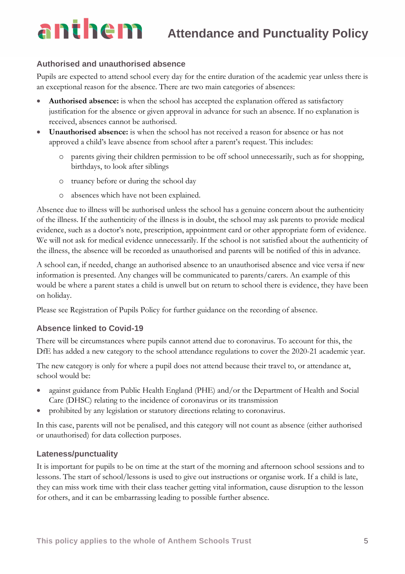# anthem

#### **Authorised and unauthorised absence**

Pupils are expected to attend school every day for the entire duration of the academic year unless there is an exceptional reason for the absence. There are two main categories of absences:

- **Authorised absence:** is when the school has accepted the explanation offered as satisfactory justification for the absence or given approval in advance for such an absence. If no explanation is received, absences cannot be authorised.
- **Unauthorised absence:** is when the school has not received a reason for absence or has not approved a child's leave absence from school after a parent's request. This includes:
	- o parents giving their children permission to be off school unnecessarily, such as for shopping, birthdays, to look after siblings
	- o truancy before or during the school day
	- o absences which have not been explained.

Absence due to illness will be authorised unless the school has a genuine concern about the authenticity of the illness. If the authenticity of the illness is in doubt, the school may ask parents to provide medical evidence, such as a doctor's note, prescription, appointment card or other appropriate form of evidence. We will not ask for medical evidence unnecessarily. If the school is not satisfied about the authenticity of the illness, the absence will be recorded as unauthorised and parents will be notified of this in advance.

A school can, if needed, change an authorised absence to an unauthorised absence and vice versa if new information is presented. Any changes will be communicated to parents/carers. An example of this would be where a parent states a child is unwell but on return to school there is evidence, they have been on holiday.

Please see Registration of Pupils Policy for further guidance on the recording of absence.

#### **Absence linked to Covid-19**

There will be circumstances where pupils cannot attend due to coronavirus. To account for this, the DfE has added a new category to the [school attendance regulations](https://www.legislation.gov.uk/uksi/2020/816/contents/made) to cover the 2020-21 academic year.

The new category is only for where a pupil does not attend because their travel to, or attendance at, school would be:

- against guidance from Public Health England (PHE) and/or the Department of Health and Social Care (DHSC) relating to the incidence of coronavirus or its transmission
- prohibited by any legislation or statutory directions relating to coronavirus.

In this case, parents will not be penalised, and this category will not count as absence (either authorised or unauthorised) for data collection purposes.

#### **Lateness/punctuality**

It is important for pupils to be on time at the start of the morning and afternoon school sessions and to lessons. The start of school/lessons is used to give out instructions or organise work. If a child is late, they can miss work time with their class teacher getting vital information, cause disruption to the lesson for others, and it can be embarrassing leading to possible further absence.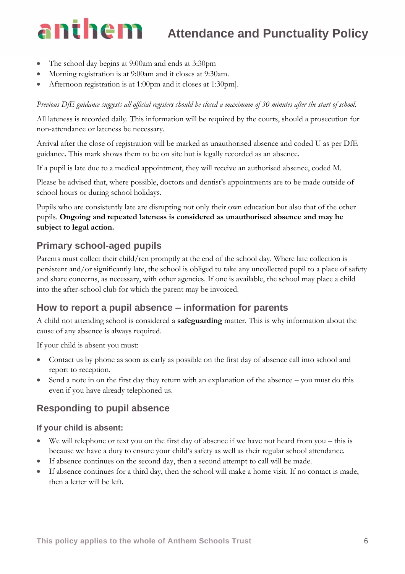### anthem **Attendance and Punctuality Policy**

- The school day begins at 9:00am and ends at 3:30pm
- Morning registration is at 9:00am and it closes at 9:30am.
- Afternoon registration is at 1:00pm and it closes at 1:30pm].

*Previous DfE guidance suggests all official registers should be closed a maximum of 30 minutes after the start of school.*

All lateness is recorded daily. This information will be required by the courts, should a prosecution for non-attendance or lateness be necessary.

Arrival after the close of registration will be marked as unauthorised absence and coded U as per DfE guidance. This mark shows them to be on site but is legally recorded as an absence.

If a pupil is late due to a medical appointment, they will receive an authorised absence, coded M.

Please be advised that, where possible, doctors and dentist's appointments are to be made outside of school hours or during school holidays.

Pupils who are consistently late are disrupting not only their own education but also that of the other pupils. **Ongoing and repeated lateness is considered as unauthorised absence and may be subject to legal action.**

#### **Primary school-aged pupils**

Parents must collect their child/ren promptly at the end of the school day. Where late collection is persistent and/or significantly late, the school is obliged to take any uncollected pupil to a place of safety and share concerns, as necessary, with other agencies. If one is available, the school may place a child into the after-school club for which the parent may be invoiced.

#### **How to report a pupil absence – information for parents**

A child not attending school is considered a **safeguarding** matter. This is why information about the cause of any absence is always required.

If your child is absent you must:

- Contact us by phone as soon as early as possible on the first day of absence call into school and report to reception.
- Send a note in on the first day they return with an explanation of the absence you must do this even if you have already telephoned us.

#### **Responding to pupil absence**

#### **If your child is absent:**

- We will telephone or text you on the first day of absence if we have not heard from you this is because we have a duty to ensure your child's safety as well as their regular school attendance.
- If absence continues on the second day, then a second attempt to call will be made.
- If absence continues for a third day, then the school will make a home visit. If no contact is made, then a letter will be left.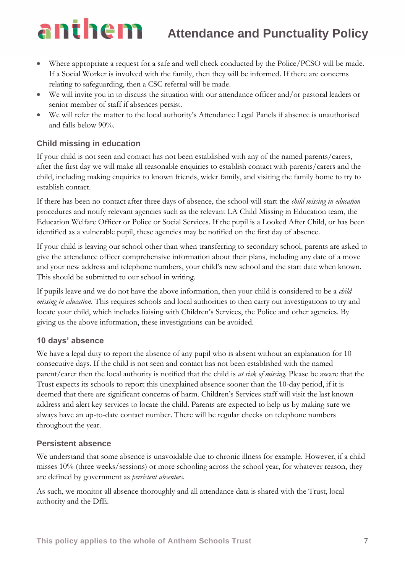## **Attendance and Punctuality Policy**

## anthem

- Where appropriate a request for a safe and well check conducted by the Police/PCSO will be made. If a Social Worker is involved with the family, then they will be informed. If there are concerns relating to safeguarding, then a CSC referral will be made.
- We will invite you in to discuss the situation with our attendance officer and/or pastoral leaders or senior member of staff if absences persist.
- We will refer the matter to the local authority's Attendance Legal Panels if absence is unauthorised and falls below 90%.

#### **Child missing in education**

If your child is not seen and contact has not been established with any of the named parents/carers, after the first day we will make all reasonable enquiries to establish contact with parents/carers and the child, including making enquiries to known friends, wider family, and visiting the family home to try to establish contact.

If there has been no contact after three days of absence, the school will start the *child missing in education*  procedures and notify relevant agencies such as the relevant LA Child Missing in Education team, the Education Welfare Officer or Police or Social Services. If the pupil is a Looked After Child, or has been identified as a vulnerable pupil, these agencies may be notified on the first day of absence.

If your child is leaving our school other than when transferring to secondary school, parents are asked to give the attendance officer comprehensive information about their plans, including any date of a move and your new address and telephone numbers, your child's new school and the start date when known. This should be submitted to our school in writing.

If pupils leave and we do not have the above information, then your child is considered to be a *child missing in education*. This requires schools and local authorities to then carry out investigations to try and locate your child, which includes liaising with Children's Services, the Police and other agencies. By giving us the above information, these investigations can be avoided.

#### **10 days' absence**

We have a legal duty to report the absence of any pupil who is absent without an explanation for 10 consecutive days. If the child is not seen and contact has not been established with the named parent/carer then the local authority is notified that the child is *at risk of missing*. Please be aware that the Trust expects its schools to report this unexplained absence sooner than the 10-day period, if it is deemed that there are significant concerns of harm. Children's Services staff will visit the last known address and alert key services to locate the child. Parents are expected to help us by making sure we always have an up-to-date contact number. There will be regular checks on telephone numbers throughout the year.

#### **Persistent absence**

We understand that some absence is unavoidable due to chronic illness for example. However, if a child misses 10% (three weeks/sessions) or more schooling across the school year, for whatever reason, they are defined by government as *persistent absentees*.

As such, we monitor all absence thoroughly and all attendance data is shared with the Trust, local authority and the DfE.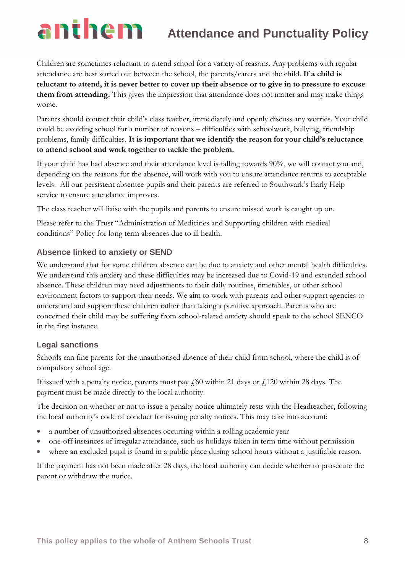#### anthem **Attendance and Punctuality Policy**

Children are sometimes reluctant to attend school for a variety of reasons. Any problems with regular attendance are best sorted out between the school, the parents/carers and the child. **If a child is reluctant to attend, it is never better to cover up their absence or to give in to pressure to excuse them from attending.** This gives the impression that attendance does not matter and may make things worse.

Parents should contact their child's class teacher, immediately and openly discuss any worries. Your child could be avoiding school for a number of reasons – difficulties with schoolwork, bullying, friendship problems, family difficulties. **It is important that we identify the reason for your child's reluctance to attend school and work together to tackle the problem.** 

If your child has had absence and their attendance level is falling towards 90%, we will contact you and, depending on the reasons for the absence, will work with you to ensure attendance returns to acceptable levels. All our persistent absentee pupils and their parents are referred to Southwark's Early Help service to ensure attendance improves.

The class teacher will liaise with the pupils and parents to ensure missed work is caught up on.

Please refer to the Trust "Administration of Medicines and Supporting children with medical conditions" Policy for long term absences due to ill health.

#### **Absence linked to anxiety or SEND**

We understand that for some children absence can be due to anxiety and other mental health difficulties. We understand this anxiety and these difficulties may be increased due to Covid-19 and extended school absence. These children may need adjustments to their daily routines, timetables, or other school environment factors to support their needs. We aim to work with parents and other support agencies to understand and support these children rather than taking a punitive approach. Parents who are concerned their child may be suffering from school-related anxiety should speak to the school SENCO in the first instance.

#### **Legal sanctions**

Schools can fine parents for the unauthorised absence of their child from school, where the child is of compulsory school age.

If issued with a penalty notice, parents must pay  $\frac{1}{60}$  within 21 days or  $\frac{1}{120}$  within 28 days. The payment must be made directly to the local authority.

The decision on whether or not to issue a penalty notice ultimately rests with the Headteacher, following the local authority's code of conduct for issuing penalty notices. This may take into account:

- a number of unauthorised absences occurring within a rolling academic year
- one-off instances of irregular attendance, such as holidays taken in term time without permission
- where an excluded pupil is found in a public place during school hours without a justifiable reason.

If the payment has not been made after 28 days, the local authority can decide whether to prosecute the parent or withdraw the notice.